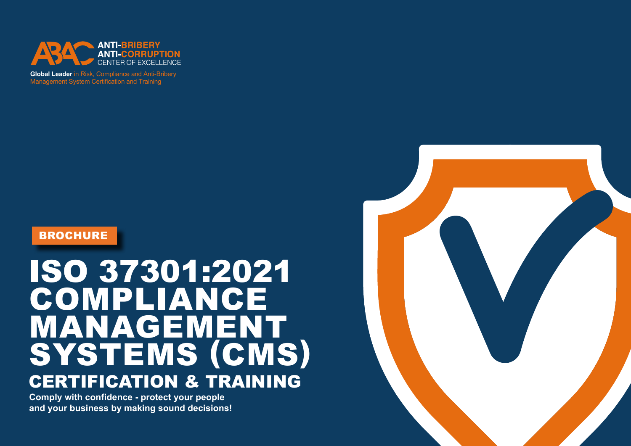

**Global Leader** in Risk, Compliance and Anti-Bribery Management System Certification and Training

## **BROCHURE**

# ISO 37301:2021 COMPLIANCE MANAGEMENT SYSTEMS (CMS) CERTIFICATION & TRAINING

**Comply with confidence - protect your people and your business by making sound decisions!**

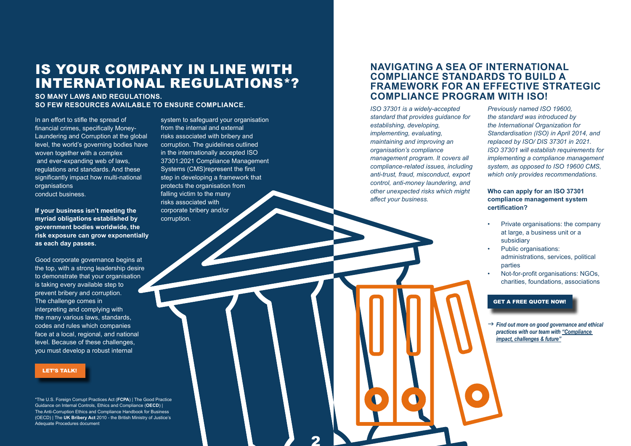# IS YOUR COMPANY IN LINE WITH INTERNATIONAL REGULATIONS\*?

**SO MANY LAWS AND REGULATIONS. SO FEW RESOURCES AVAILABLE TO ENSURE COMPLIANCE.**

In an effort to stifle the spread of financial crimes, specifically Money-Laundering and Corruption at the global level, the world's governing bodies have woven together with a complex and ever-expanding web of laws, regulations and standards. And these significantly impact how multi-national organisations conduct business.

**If your business isn't meeting the myriad obligations established by government bodies worldwide, the risk exposure can grow exponentially as each day passes.** 

Good corporate governance begins at the top, with a strong leadership desire to demonstrate that your organisation is taking every available step to prevent bribery and corruption. The challenge comes in interpreting and complying with the many various laws, standards, codes and rules which companies face at a local, regional, and national level. Because of these challenges, you must develop a robust internal

#### [LET'S TALK!](https://abacgroup.com/get-a-quote/)

\*The U.S. Foreign Corrupt Practices Act (**FCPA**) | The Good Practice Guidance on Internal Controls, Ethics and Compliance (**OECD**) | The Anti-Corruption Ethics and Compliance Handbook for Business (OECD) | The **UK Bribery Act** 2010 - the British Ministry of Justice's Adequate Procedures document

system to safeguard your organisation from the internal and external risks associated with bribery and corruption. The guidelines outlined in the internationally accepted ISO 37301:2021 Compliance Management Systems (CMS)represent the first step in developing a framework that protects the organisation from falling victim to the many risks associated with corporate bribery and/or corruption.

 $\overline{\mathbf{2}}$ 

## **NAVIGATING A SEA OF INTERNATIONAL COMPLIANCE STANDARDS TO BUILD A FRAMEWORK FOR AN EFFECTIVE STRATEGIC COMPLIANCE PROGRAM WITH ISO!**

*ISO 37301 is a widely-accepted standard that provides guidance for establishing, developing, implementing, evaluating, maintaining and improving an organisation's compliance management program. It covers all compliance-related issues, including anti-trust, fraud, misconduct, export control, anti-money laundering, and other unexpected risks which might affect your business.*

*Previously named ISO 19600, the standard was introduced by the International Organization for Standardisation (ISO) in April 2014, and replaced by ISO/ DIS 37301 in 2021. ISO 37301 will establish requirements for implementing a compliance management system, as opposed to ISO 19600 CMS, which only provides recommendations.*

#### **Who can apply for an ISO 37301 compliance management system certification?**

- Private organisations: the company at large, a business unit or a subsidiary
- Public organisations: administrations, services, political parties
- Not-for-profit organisations: NGOs, charities, foundations, associations

#### [GET A FREE QUOTE NOW!](https://abacgroup.com/get-a-quote/)

→ Find out more on good governance and ethical *practices with our team with ["Compliance](https://abacgroup.com/interview-with-abac-compliance-impact-challenges-future/)  [impact, challenges & future"](https://abacgroup.com/interview-with-abac-compliance-impact-challenges-future/)*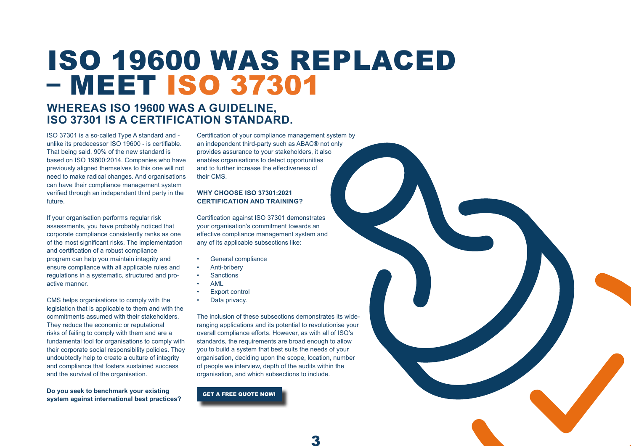# ISO 19600 WAS REPLACED – MEET ISO 37301

## **WHEREAS ISO 19600 WAS A GUIDELINE, ISO 37301 IS A CERTIFICATION STANDARD.**

ISO 37301 is a so-called Type A standard and unlike its predecessor ISO 19600 - is certifiable. That being said, 90% of the new standard is based on ISO 19600:2014. Companies who have previously aligned themselves to this one will not need to make radical changes. And organisations can have their compliance management system verified through an independent third party in the future.

If your organisation performs regular risk assessments, you have probably noticed that corporate compliance consistently ranks as one of the most significant risks. The implementation and certification of a robust compliance program can help you maintain integrity and ensure compliance with all applicable rules and regulations in a systematic, structured and proactive manner.

CMS helps organisations to comply with the legislation that is applicable to them and with the commitments assumed with their stakeholders. They reduce the economic or reputational risks of failing to comply with them and are a fundamental tool for organisations to comply with their corporate social responsibility policies. They undoubtedly help to create a culture of integrity and compliance that fosters sustained success and the survival of the organisation.

**Do you seek to benchmark your existing system against international best practices?** 

Certification of your compliance management system by an independent third-party such as ABAC**®** not only provides assurance to your stakeholders, it also enables organisations to detect opportunities and to further increase the effectiveness of their CMS.

#### **WHY CHOOSE ISO 37301:2021 CERTIFICATION AND TRAINING?**

Certification against ISO 37301 demonstrates your organisation's commitment towards an effective compliance management system and any of its applicable subsections like:

- General compliance
- Anti-bribery
- **Sanctions**
- AML
- Export control
- Data privacy.

The inclusion of these subsections demonstrates its wideranging applications and its potential to revolutionise your overall compliance efforts. However, as with all of ISO's standards, the requirements are broad enough to allow you to build a system that best suits the needs of your organisation, deciding upon the scope, location, number of people we interview, depth of the audits within the organisation, and which subsections to include.

3

[GET A FREE QUOTE NOW!](https://abacgroup.com/get-a-quote/)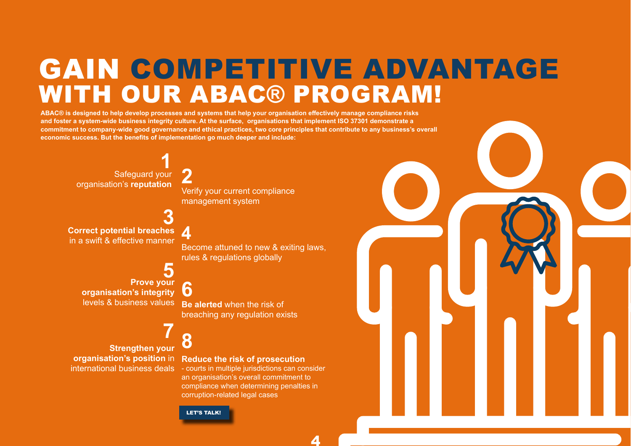# GAIN COMPETITIVE ADVANTAGE WITH OUR ABAC**®** PROGRAM!

**ABAC® is designed to help develop processes and systems that help your organisation effectively manage compliance risks and foster a system-wide business integrity culture. At the surface, organisations that implement ISO 37301 demonstrate a commitment to company-wide good governance and ethical practices, two core principles that contribute to any business's overall economic success. But the benefits of implementation go much deeper and include:**

Safeguard your **1** organisation's **reputation Correct potential breaches 2 3**

in a swift & effective manner

**Prove your 5 organisation's integrity**  levels & business values

**Strengthen your organisation's position** in

Verify your current compliance management system

**4**

Become attuned to new & exiting laws, rules & regulations globally

**6 Be alerted** when the risk of breaching any regulation exists

# **7 8**

**Reduce the risk of prosecution**

international business deals - courts in multiple jurisdictions can consider an organisation's overall commitment to compliance when determining penalties in corruption-related legal cases



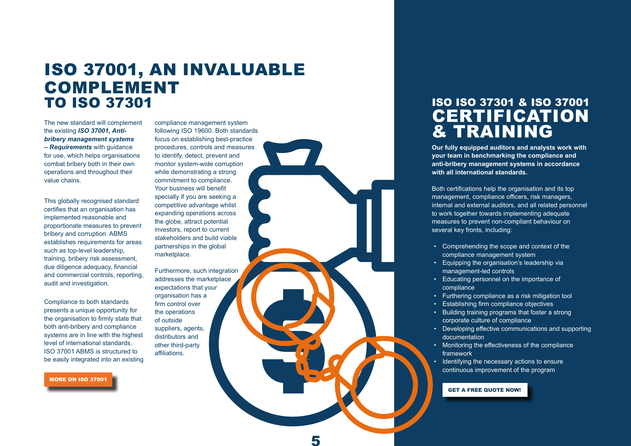# ISO 37001, AN INVALUABLE COMPLEMENT TO ISO 37301

The new standard will complement the existing *ISO 37001, Antibribery management systems – Requirements* with guidance for use, which helps organisations combat bribery both in their own operations and throughout their value chains.

This globally recognised standard certifies that an organisation has implemented reasonable and proportionate measures to prevent bribery and corruption. ABMS establishes requirements for areas such as top-level leadership, training, bribery risk assessment, due diligence adequacy, financial and commercial controls, reporting, audit and investigation.

Compliance to both standards presents a unique opportunity for the organisation to firmly state that both anti-bribery and compliance systems are in line with the highest level of international standards. ISO 37001 ABMS is structured to be easily integrated into an existing

[MORE ON ISO 37001](https://abacgroup.com/iso-37001-certification)

compliance management system following ISO 19600. Both standards focus on establishing best-practice procedures, controls and measures to identify, detect, prevent and monitor system-wide corruption while demonstrating a strong commitment to compliance. Your business will benefit specially if you are seeking a competitive advantage whilst expanding operations across the globe, attract potential investors, report to current stakeholders and build viable partnerships in the global marketplace.

Furthermore, such integration addresses the marketplace expectations that your organisation has a firm control over the operations of outside suppliers, agents, distributors and other third-party affiliations.

**Our fully equipped auditors and analysts work with your team in benchmarking the compliance and anti-bribery management systems in accordance with all international standards.**  ISO ISO 37301 & ISO 37001 **CERTIFICATION** & TRAINING

> Both certifications help the organisation and its top management, compliance officers, risk managers, internal and external auditors, and all related personnel to work together towards implementing adequate measures to prevent non-compliant behaviour on several key fronts, including:

- Comprehending the scope and context of the compliance management system
- Equipping the organisation's leadership via management-led controls
- Educating personnel on the importance of compliance
- Furthering compliance as a risk mitigation tool
- Establishing firm compliance objectives
- Building training programs that foster a strong corporate culture of compliance
- Developing effective communications and supporting documentation
- Monitoring the effectiveness of the compliance framework
- Identifying the necessary actions to ensure continuous improvement of the program

#### [GET A FREE QUOTE NOW!](https://abacgroup.com/get-a-quote/)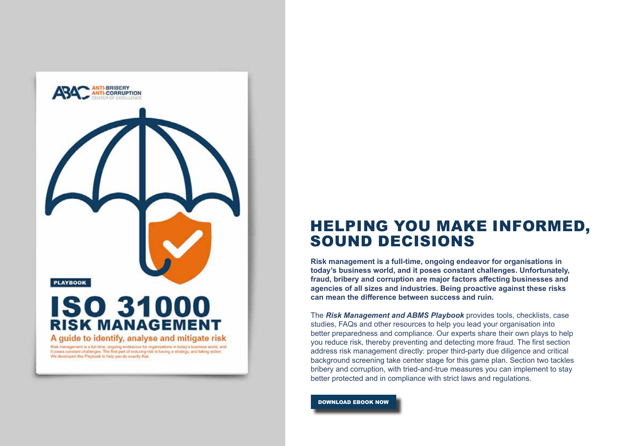

# HELPING YOU MAKE INFORMED, SOUND DECISIONS

**Risk management is a full-time, ongoing endeavor for organisations in today's business world, and it poses constant challenges. Unfortunately, fraud, bribery and corruption are major factors affecting businesses and agencies of all sizes and industries. Being proactive against these risks can mean the difference between success and ruin.**

The *Risk Management and ABMS Playbook* provides tools, checklists, case studies, FAQs and other resources to help you lead your organisation into better preparedness and compliance. Our experts share their own plays to help you reduce risk, thereby preventing and detecting more fraud. The first section address risk management directly: proper third-party due diligence and critical background screening take center stage for this game plan. Section two tackles bribery and corruption, with tried-and-true measures you can implement to stay better protected and in compliance with strict laws and regulations.

[DOWNLOAD EBOOK NOW](https://abacgroup.com/download-a-file/?dynamictext_945=https://abacgroup.com/wp-content/uploads/2021/ABMS-Risk-Management-Playbook-1.pdf)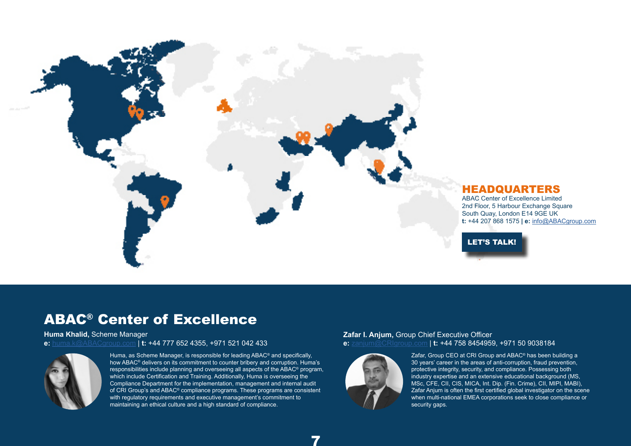

### HEADQUARTERS

[LET'S TALK!](https://abacgroup.com/contact/)

ABAC Center of Excellence Limited 2nd Floor, 5 Harbour Exchange Square South Quay, London E14 9GE UK **t:** +44 207 868 1575 **| e:** [info@ABACgroup.com](mailto:info@ABACgroup.com )

ABAC® Center of Excellence

**Huma Khalid,** Scheme Manager **e:** [huma.k@ABACgroup.com](mailto:huma.k%40ABACgroup.com?subject=) | **t:** +44 777 652 4355, +971 521 042 433



Huma, as Scheme Manager, is responsible for leading ABAC® and specifically, how ABAC<sup>®</sup> delivers on its commitment to counter bribery and corruption. Huma's responsibilities include planning and overseeing all aspects of the ABAC® program, which include Certification and Training. Additionally, Huma is overseeing the [Compliance Department for the implementation, management and internal audit](mailto:huma.k%40ABACgroup.com?subject=Let%27s%20Talk%21)  of CRI Group's and ABAC® compliance programs. These programs are consistent with regulatory requirements and executive management's commitment to maintaining an ethical culture and a high standard of compliance.

#### **Zafar I. Anjum,** Group Chief Executive Officer **e:** zanjum@CRIgroup.com | **t:** +44 758 8454959, +971 50 9038184



7

Zafar, Group CEO at CRI Group and ABAC® has been building a 30 years' career in the areas of anti-corruption, fraud prevention, protective integrity, security, and compliance. Possessing both industry expertise and an extensive educational background (MS, MSc, CFE, CII, CIS, MICA, Int. Dip. (Fin. Crime), CII, MIPI, MABI), [Zafar Anjum is often the first certified global investigator on the scene](mailto:omoye.osebor%40ABACgroup.com?subject=Let%27s%20Talk%21)  when multi-national EMEA corporations seek to close compliance or security gaps.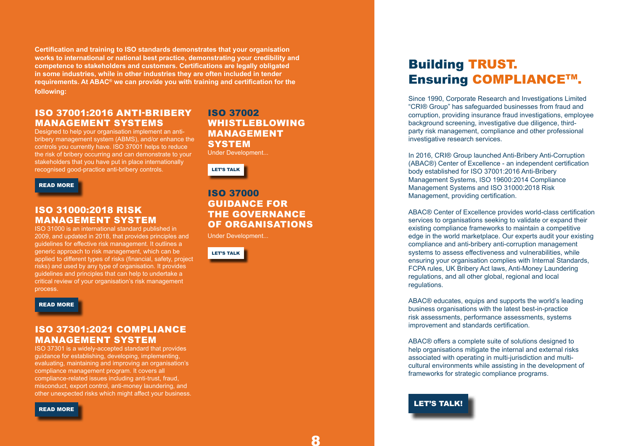**Certification and training to ISO standards demonstrates that your organisation works to international or national best practice, demonstrating your credibility and competence to stakeholders and customers. Certifications are legally obligated in some industries, while in other industries they are often included in tender requirements. At ABAC® we can provide you with training and certification for the following:** 

## ISO 37001:2016 ANTI-BRIBERY MANAGEMENT SYSTEMS

Designed to help your organisation implement an antibribery management system (ABMS), and/or enhance the controls you currently have. ISO 37001 helps to reduce the risk of bribery occurring and can demonstrate to your stakeholders that you have put in place internationally recognised good-practice anti-bribery controls.

[READ MORE](https://abacgroup.com/iso-37001-certification/)

### ISO 31000:2018 RISK MANAGEMENT SYSTEM

ISO 31000 is an international standard published in 2009, and updated in 2018, that provides principles and guidelines for effective risk management. It outlines a generic approach to risk management, which can be applied to different types of risks (financial, safety, project risks) and used by any type of organisation. It provides guidelines and principles that can help to undertake a critical review of your organisation's risk management process.

#### [READ MORE](https://abacgroup.com/iso-31000-training/)

## ISO 37301:2021 COMPLIANCE MANAGEMENT SYSTEM

ISO 37301 is a widely-accepted standard that provides guidance for establishing, developing, implementing, evaluating, maintaining and improving an organisation's compliance management program. It covers all compliance-related issues including anti-trust, fraud, misconduct, export control, anti-money laundering, and other unexpected risks which might affect your business.

[READ MORE](https://abacgroup.com/iso-37301-certification/)

## ISO 37002 WHISTLEBLOWING MANAGEMENT **SYSTEM**

Under Development...



## ISO 37000 GUIDANCE FOR THE GOVERNANCE OF ORGANISATIONS

Under Development...



# Building TRUST. Ensuring COMPLIANCETM.

Since 1990, Corporate Research and Investigations Limited "CRI® Group" has safeguarded businesses from fraud and corruption, providing insurance fraud investigations, employee background screening, investigative due diligence, thirdparty risk management, compliance and other professional investigative research services.

In 2016, CRI® Group launched Anti-Bribery Anti-Corruption (ABAC®) Center of Excellence - an independent certification body established for ISO 37001:2016 Anti-Bribery Management Systems, ISO 19600:2014 Compliance Management Systems and ISO 31000:2018 Risk Management, providing certification.

ABAC® Center of Excellence provides world-class certification services to organisations seeking to validate or expand their existing compliance frameworks to maintain a competitive edge in the world marketplace. Our experts audit your existing compliance and anti-bribery anti-corruption management systems to assess effectiveness and vulnerabilities, while ensuring your organisation complies with Internal Standards, FCPA rules, UK Bribery Act laws, Anti-Money Laundering regulations, and all other global, regional and local regulations.

ABAC® educates, equips and supports the world's leading business organisations with the latest best-in-practice risk assessments, performance assessments, systems improvement and standards certification.

ABAC® offers a complete suite of solutions designed to help organisations mitigate the internal and external risks associated with operating in multi-jurisdiction and multicultural environments while assisting in the development of frameworks for strategic compliance programs.

[LET'S TALK!](https://abacgroup.com/contact/)